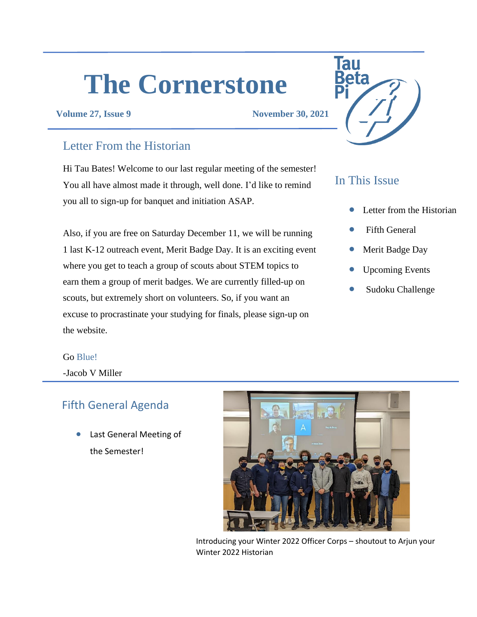# **The Cornerstone**

**Volume 27, Issue 9 November 30, 2021**

#### Letter From the Historian

Hi Tau Bates! Welcome to our last regular meeting of the semester! You all have almost made it through, well done. I'd like to remind you all to sign-up for banquet and initiation ASAP.

Also, if you are free on Saturday December 11, we will be running 1 last K-12 outreach event, Merit Badge Day. It is an exciting event where you get to teach a group of scouts about STEM topics to earn them a group of merit badges. We are currently filled-up on scouts, but extremely short on volunteers. So, if you want an excuse to procrastinate your studying for finals, please sign-up on the website.



#### In This Issue

- Letter from the Historian
- **Fifth General**
- Merit Badge Day
- Upcoming Events
- Sudoku Challenge

#### Go Blue!

-Jacob V Miller

#### Fifth General Agenda

Last General Meeting of the Semester!



Introducing your Winter 2022 Officer Corps – shoutout to Arjun your Winter 2022 Historian